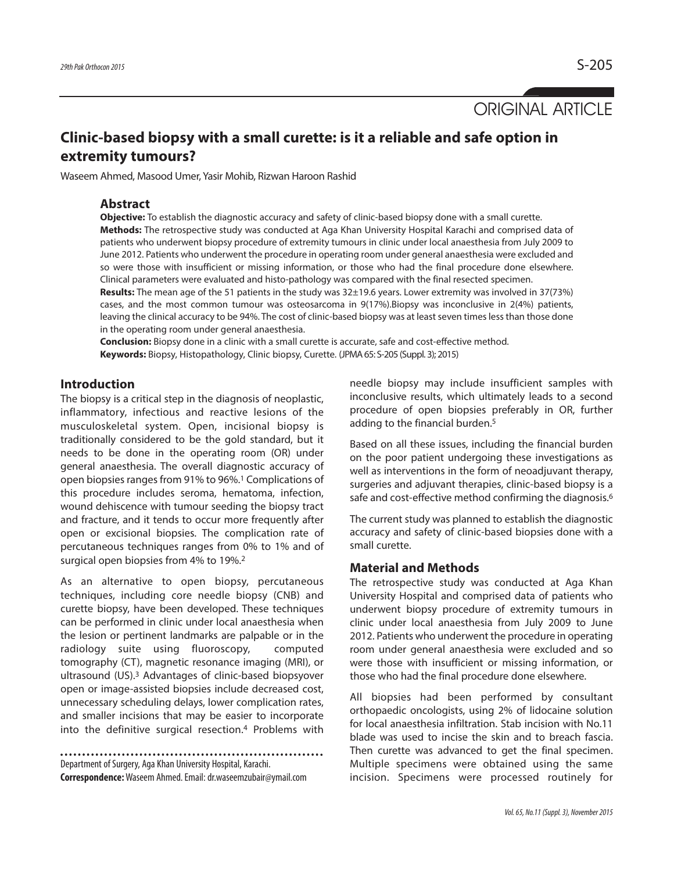ORIGINAL ARTICLE

# **Clinic-based biopsy with a small curette: is it a reliable and safe option in extremity tumours?**

Waseem Ahmed, Masood Umer, Yasir Mohib, Rizwan Haroon Rashid

#### **Abstract**

**Objective:** To establish the diagnostic accuracy and safety of clinic-based biopsy done with a small curette. **Methods:** The retrospective study was conducted at Aga Khan University Hospital Karachi and comprised data of patients who underwent biopsy procedure of extremity tumours in clinic under local anaesthesia from July 2009 to June 2012. Patients who underwent the procedure in operating room under general anaesthesia were excluded and so were those with insufficient or missing information, or those who had the final procedure done elsewhere. Clinical parameters were evaluated and histo-pathology was compared with the final resected specimen.

**Results:** The mean age of the 51 patients in the study was 32±19.6 years. Lower extremity was involved in 37(73%) cases, and the most common tumour was osteosarcoma in 9(17%).Biopsy was inconclusive in 2(4%) patients, leaving the clinical accuracy to be 94%. The cost of clinic-based biopsy was at least seven times less than those done in the operating room under general anaesthesia.

**Conclusion:** Biopsy done in a clinic with a small curette is accurate, safe and cost-effective method. **Keywords:** Biopsy, Histopathology, Clinic biopsy, Curette. (JPMA65: S-205 (Suppl. 3); 2015)

## **Introduction**

The biopsy is a critical step in the diagnosis of neoplastic, inflammatory, infectious and reactive lesions of the musculoskeletal system. Open, incisional biopsy is traditionally considered to be the gold standard, but it needs to be done in the operating room (OR) under general anaesthesia. The overall diagnostic accuracy of open biopsies ranges from 91% to 96%.<sup>1</sup> Complications of this procedure includes seroma, hematoma, infection, wound dehiscence with tumour seeding the biopsy tract and fracture, and it tends to occur more frequently after open or excisional biopsies. The complication rate of percutaneous techniques ranges from 0% to 1% and of surgical open biopsies from 4% to 19%. 2

As an alternative to open biopsy, percutaneous techniques, including core needle biopsy (CNB) and curette biopsy, have been developed. These techniques can be performed in clinic under local anaesthesia when the lesion or pertinent landmarks are palpable or in the radiology suite using fluoroscopy, computed tomography (CT), magnetic resonance imaging (MRI), or ultrasound (US). <sup>3</sup> Advantages of clinic-based biopsyover open or image-assisted biopsies include decreased cost, unnecessary scheduling delays, lower complication rates, and smaller incisions that may be easier to incorporate into the definitive surgical resection. <sup>4</sup> Problems with

Department of Surgery, Aga Khan University Hospital, Karachi. **Correspondence:**Waseem Ahmed.Email:dr.waseemzubair@ymail.com needle biopsy may include insufficient samples with inconclusive results, which ultimately leads to a second procedure of open biopsies preferably in OR, further adding to the financial burden. 5

Based on all these issues, including the financial burden on the poor patient undergoing these investigations as well as interventions in the form of neoadjuvant therapy, surgeries and adjuvant therapies, clinic-based biopsy is a safe and cost-effective method confirming the diagnosis. 6

The current study was planned to establish the diagnostic accuracy and safety of clinic-based biopsies done with a small curette.

#### **Material and Methods**

The retrospective study was conducted at Aga Khan University Hospital and comprised data of patients who underwent biopsy procedure of extremity tumours in clinic under local anaesthesia from July 2009 to June 2012. Patients who underwent the procedure in operating room under general anaesthesia were excluded and so were those with insufficient or missing information, or those who had the final procedure done elsewhere.

All biopsies had been performed by consultant orthopaedic oncologists, using 2% of lidocaine solution for local anaesthesia infiltration. Stab incision with No.11 blade was used to incise the skin and to breach fascia. Then curette was advanced to get the final specimen. Multiple specimens were obtained using the same incision. Specimens were processed routinely for